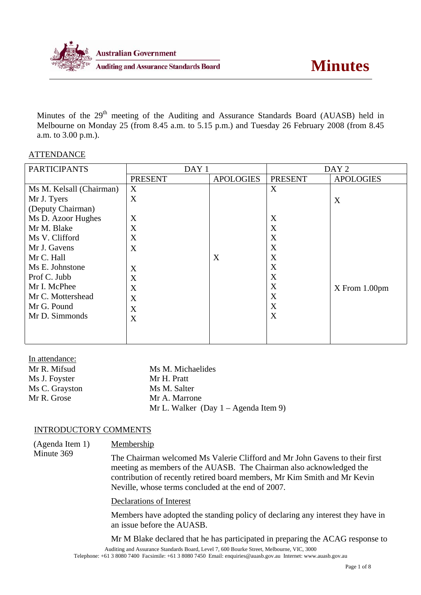

Minutes of the 29<sup>th</sup> meeting of the Auditing and Assurance Standards Board (AUASB) held in Melbourne on Monday 25 (from 8.45 a.m. to 5.15 p.m.) and Tuesday 26 February 2008 (from 8.45 a.m. to 3.00 p.m.).

### ATTENDANCE

| <b>PARTICIPANTS</b>      | DAY <sub>1</sub> |                  | DAY <sub>2</sub> |                  |
|--------------------------|------------------|------------------|------------------|------------------|
|                          | <b>PRESENT</b>   | <b>APOLOGIES</b> | <b>PRESENT</b>   | <b>APOLOGIES</b> |
| Ms M. Kelsall (Chairman) | X                |                  | X                |                  |
| Mr J. Tyers              | X                |                  |                  | X                |
| (Deputy Chairman)        |                  |                  |                  |                  |
| Ms D. Azoor Hughes       | X                |                  | X                |                  |
| Mr M. Blake              | X                |                  | X                |                  |
| Ms V. Clifford           | X                |                  | X                |                  |
| Mr J. Gavens             | X                |                  | X                |                  |
| Mr C. Hall               |                  | X                | X                |                  |
| Ms E. Johnstone          | X                |                  | X                |                  |
| Prof C. Jubb             | X                |                  | X                |                  |
| Mr I. McPhee             | X                |                  | X                | $X$ From 1.00pm  |
| Mr C. Mottershead        | X                |                  | X                |                  |
| Mr G. Pound              | X                |                  | X                |                  |
| Mr D. Simmonds           | X                |                  | X                |                  |
|                          |                  |                  |                  |                  |
|                          |                  |                  |                  |                  |

| In attendance: |                                                |
|----------------|------------------------------------------------|
| Mr R. Mifsud   | Ms M. Michaelides                              |
| Ms J. Foyster  | Mr H. Pratt                                    |
| Ms C. Grayston | Ms M. Salter                                   |
| Mr R. Grose    | Mr A. Marrone                                  |
|                | Mr L. Walker (Day $1 - \text{Agenda Item 9}$ ) |

#### INTRODUCTORY COMMENTS

(Agenda Item 1) Minute 369 Membership The Chairman welcomed Ms Valerie Clifford and Mr John Gavens to their first meeting as members of the AUASB. The Chairman also acknowledged the contribution of recently retired board members, Mr Kim Smith and Mr Kevin Neville, whose terms concluded at the end of 2007.

Declarations of Interest

Members have adopted the standing policy of declaring any interest they have in an issue before the AUASB.

Auditing and Assurance Standards Board, Level 7, 600 Bourke Street, Melbourne, VIC, 3000 Telephone: +61 3 8080 7400 Facsimile: +61 3 8080 7450 Email: enquiries@auasb.gov.au Internet: www.auasb.gov.au Mr M Blake declared that he has participated in preparing the ACAG response to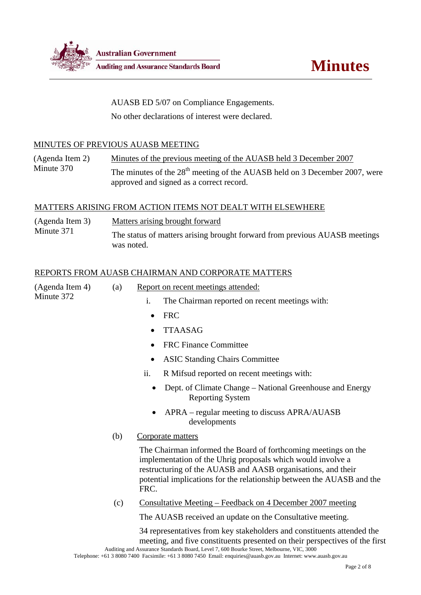

AUASB ED 5/07 on Compliance Engagements.

No other declarations of interest were declared.

# MINUTES OF PREVIOUS AUASB MEETING

(Agenda Item 2) Minute 370 Minutes of the previous meeting of the AUASB held 3 December 2007 The minutes of the 28<sup>th</sup> meeting of the AUASB held on 3 December 2007, were approved and signed as a correct record.

# MATTERS ARISING FROM ACTION ITEMS NOT DEALT WITH ELSEWHERE

| (Agenda Item 3) | Matters arising brought forward                                                          |
|-----------------|------------------------------------------------------------------------------------------|
| Minute 371      | The status of matters arising brought forward from previous AUASB meetings<br>was noted. |

# REPORTS FROM AUASB CHAIRMAN AND CORPORATE MATTERS

| (Agenda Item 4)<br>Minute 372 | (a) | Report on recent meetings attended:                                                                                                                                                                                                                                                                                                                                 |  |  |
|-------------------------------|-----|---------------------------------------------------------------------------------------------------------------------------------------------------------------------------------------------------------------------------------------------------------------------------------------------------------------------------------------------------------------------|--|--|
|                               |     | $\mathbf{i}$ .<br>The Chairman reported on recent meetings with:                                                                                                                                                                                                                                                                                                    |  |  |
|                               |     | <b>FRC</b><br>$\bullet$                                                                                                                                                                                                                                                                                                                                             |  |  |
|                               |     | <b>TTAASAG</b>                                                                                                                                                                                                                                                                                                                                                      |  |  |
|                               |     | <b>FRC</b> Finance Committee                                                                                                                                                                                                                                                                                                                                        |  |  |
|                               |     | <b>ASIC Standing Chairs Committee</b>                                                                                                                                                                                                                                                                                                                               |  |  |
|                               |     | ii.<br>R Mifsud reported on recent meetings with:                                                                                                                                                                                                                                                                                                                   |  |  |
|                               |     | Dept. of Climate Change – National Greenhouse and Energy<br><b>Reporting System</b>                                                                                                                                                                                                                                                                                 |  |  |
|                               |     | APRA – regular meeting to discuss APRA/AUASB<br>developments                                                                                                                                                                                                                                                                                                        |  |  |
|                               | (b) | Corporate matters                                                                                                                                                                                                                                                                                                                                                   |  |  |
|                               |     | The Chairman informed the Board of forthcoming meetings on the<br>implementation of the Uhrig proposals which would involve a<br>restructuring of the AUASB and AASB organisations, and their<br>potential implications for the relationship between the AUASB and the<br>FRC.                                                                                      |  |  |
|                               | (c) | <u> Consultative Meeting – Feedback on 4 December 2007 meeting</u>                                                                                                                                                                                                                                                                                                  |  |  |
|                               |     | The AUASB received an update on the Consultative meeting.                                                                                                                                                                                                                                                                                                           |  |  |
|                               |     | 34 representatives from key stakeholders and constituents attended the<br>meeting, and five constituents presented on their perspectives of the first<br>Auditing and Assurance Standards Board, Level 7, 600 Bourke Street, Melbourne, VIC, 3000<br>Telephone: +61 3 8080 7400 Facsimile: +61 3 8080 7450 Email: enquiries@auasb.gov.au Internet: www.auasb.gov.au |  |  |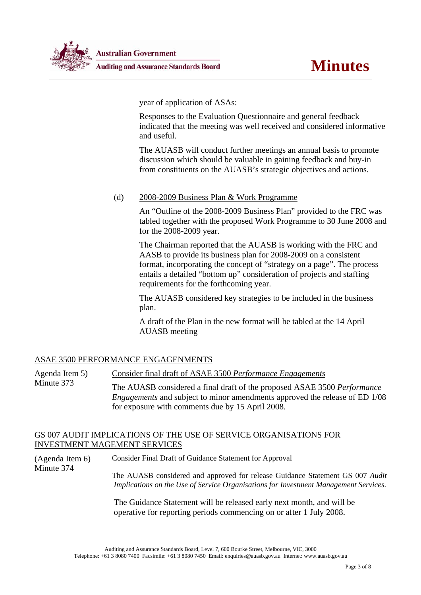

year of application of ASAs:

Responses to the Evaluation Questionnaire and general feedback indicated that the meeting was well received and considered informative and useful.

The AUASB will conduct further meetings an annual basis to promote discussion which should be valuable in gaining feedback and buy-in from constituents on the AUASB's strategic objectives and actions.

# (d) 2008-2009 Business Plan & Work Programme

An "Outline of the 2008-2009 Business Plan" provided to the FRC was tabled together with the proposed Work Programme to 30 June 2008 and for the 2008-2009 year.

The Chairman reported that the AUASB is working with the FRC and AASB to provide its business plan for 2008-2009 on a consistent format, incorporating the concept of "strategy on a page". The process entails a detailed "bottom up" consideration of projects and staffing requirements for the forthcoming year.

The AUASB considered key strategies to be included in the business plan.

A draft of the Plan in the new format will be tabled at the 14 April AUASB meeting

## ASAE 3500 PERFORMANCE ENGAGENMENTS

Minute 374

Agenda Item 5) Minute 373 Consider final draft of ASAE 3500 *Performance Engagements* The AUASB considered a final draft of the proposed ASAE 3500 *Performance Engagements* and subject to minor amendments approved the release of ED 1/08 for exposure with comments due by 15 April 2008.

### GS 007 AUDIT IMPLICATIONS OF THE USE OF SERVICE ORGANISATIONS FOR INVESTMENT MAGEMENT SERVICES

(Agenda Item 6) Consider Final Draft of Guidance Statement for Approval

> The AUASB considered and approved for release Guidance Statement GS 007 *Audit Implications on the Use of Service Organisations for Investment Management Services.*

The Guidance Statement will be released early next month, and will be operative for reporting periods commencing on or after 1 July 2008.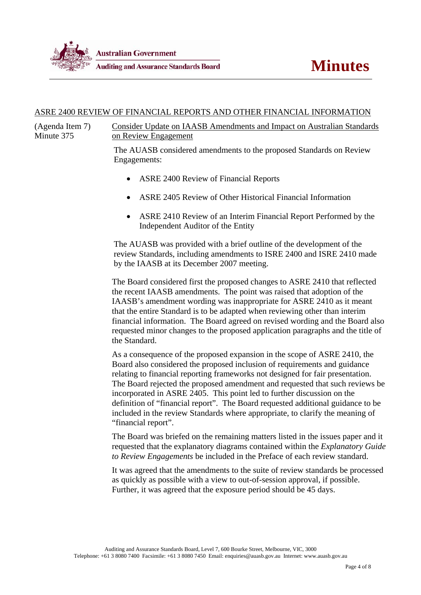

### ASRE 2400 REVIEW OF FINANCIAL REPORTS AND OTHER FINANCIAL INFORMATION

(Agenda Item 7) Minute 375

Consider Update on IAASB Amendments and Impact on Australian Standards on Review Engagement

The AUASB considered amendments to the proposed Standards on Review Engagements:

- ASRE 2400 Review of Financial Reports
- ASRE 2405 Review of Other Historical Financial Information
- ASRE 2410 Review of an Interim Financial Report Performed by the Independent Auditor of the Entity

The AUASB was provided with a brief outline of the development of the review Standards, including amendments to ISRE 2400 and ISRE 2410 made by the IAASB at its December 2007 meeting.

The Board considered first the proposed changes to ASRE 2410 that reflected the recent IAASB amendments. The point was raised that adoption of the IAASB's amendment wording was inappropriate for ASRE 2410 as it meant that the entire Standard is to be adapted when reviewing other than interim financial information. The Board agreed on revised wording and the Board also requested minor changes to the proposed application paragraphs and the title of the Standard.

As a consequence of the proposed expansion in the scope of ASRE 2410, the Board also considered the proposed inclusion of requirements and guidance relating to financial reporting frameworks not designed for fair presentation. The Board rejected the proposed amendment and requested that such reviews be incorporated in ASRE 2405. This point led to further discussion on the definition of "financial report". The Board requested additional guidance to be included in the review Standards where appropriate, to clarify the meaning of "financial report".

The Board was briefed on the remaining matters listed in the issues paper and it requested that the explanatory diagrams contained within the *Explanatory Guide to Review Engagements* be included in the Preface of each review standard.

It was agreed that the amendments to the suite of review standards be processed as quickly as possible with a view to out-of-session approval, if possible. Further, it was agreed that the exposure period should be 45 days.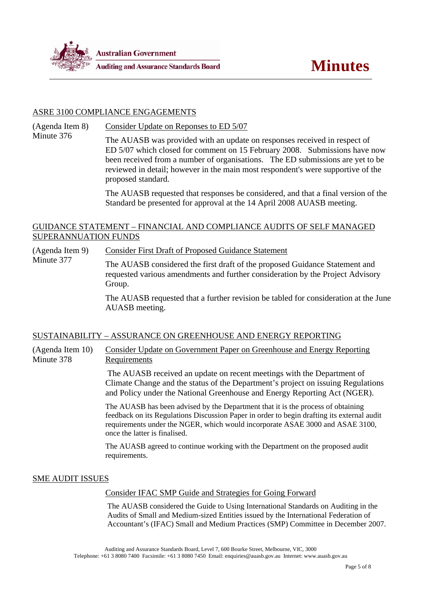

#### ASRE 3100 COMPLIANCE ENGAGEMENTS

(Agenda Item 8) Minute 376 Consider Update on Reponses to ED 5/07

The AUASB was provided with an update on responses received in respect of ED 5/07 which closed for comment on 15 February 2008. Submissions have now been received from a number of organisations. The ED submissions are yet to be reviewed in detail; however in the main most respondent's were supportive of the proposed standard.

The AUASB requested that responses be considered, and that a final version of the Standard be presented for approval at the 14 April 2008 AUASB meeting.

#### GUIDANCE STATEMENT – FINANCIAL AND COMPLIANCE AUDITS OF SELF MANAGED SUPERANNUATION FUNDS

(Agenda Item 9) Minute 377 Consider First Draft of Proposed Guidance Statement

The AUASB considered the first draft of the proposed Guidance Statement and requested various amendments and further consideration by the Project Advisory Group.

The AUASB requested that a further revision be tabled for consideration at the June AUASB meeting.

#### SUSTAINABILITY – ASSURANCE ON GREENHOUSE AND ENERGY REPORTING

(Agenda Item 10) Minute 378 Consider Update on Government Paper on Greenhouse and Energy Reporting Requirements

> The AUASB received an update on recent meetings with the Department of Climate Change and the status of the Department's project on issuing Regulations and Policy under the National Greenhouse and Energy Reporting Act (NGER).

> The AUASB has been advised by the Department that it is the process of obtaining feedback on its Regulations Discussion Paper in order to begin drafting its external audit requirements under the NGER, which would incorporate ASAE 3000 and ASAE 3100, once the latter is finalised.

The AUASB agreed to continue working with the Department on the proposed audit requirements.

#### SME AUDIT ISSUES

Consider IFAC SMP Guide and Strategies for Going Forward

The AUASB considered the Guide to Using International Standards on Auditing in the Audits of Small and Medium-sized Entities issued by the International Federation of Accountant's (IFAC) Small and Medium Practices (SMP) Committee in December 2007.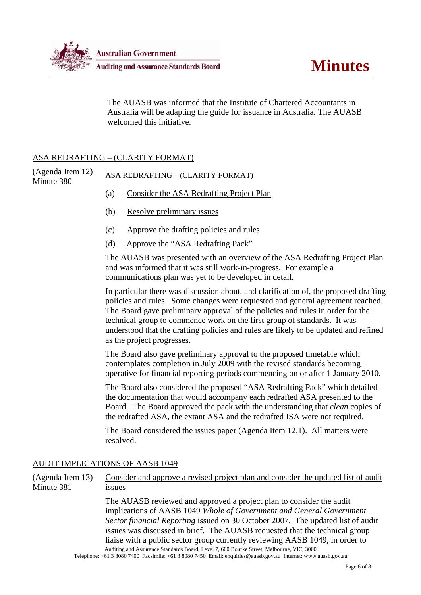

The AUASB was informed that the Institute of Chartered Accountants in Australia will be adapting the guide for issuance in Australia. The AUASB welcomed this initiative.

### ASA REDRAFTING – (CLARITY FORMAT)

(Agenda Item 12) (Agenda Item 12) ASA REDRAFTING – (CLARITY FORMAT)<br>Minute 380

- (a) Consider the ASA Redrafting Project Plan
- (b) Resolve preliminary issues
- (c) Approve the drafting policies and rules
- (d) Approve the "ASA Redrafting Pack"

The AUASB was presented with an overview of the ASA Redrafting Project Plan and was informed that it was still work-in-progress. For example a communications plan was yet to be developed in detail.

In particular there was discussion about, and clarification of, the proposed drafting policies and rules. Some changes were requested and general agreement reached. The Board gave preliminary approval of the policies and rules in order for the technical group to commence work on the first group of standards. It was understood that the drafting policies and rules are likely to be updated and refined as the project progresses.

The Board also gave preliminary approval to the proposed timetable which contemplates completion in July 2009 with the revised standards becoming operative for financial reporting periods commencing on or after 1 January 2010.

The Board also considered the proposed "ASA Redrafting Pack" which detailed the documentation that would accompany each redrafted ASA presented to the Board. The Board approved the pack with the understanding that *clean* copies of the redrafted ASA, the extant ASA and the redrafted ISA were not required.

The Board considered the issues paper (Agenda Item 12.1). All matters were resolved.

## AUDIT IMPLICATIONS OF AASB 1049

(Agenda Item 13) Minute 381 Consider and approve a revised project plan and consider the updated list of audit issues

> Auditing and Assurance Standards Board, Level 7, 600 Bourke Street, Melbourne, VIC, 3000 The AUASB reviewed and approved a project plan to consider the audit implications of AASB 1049 *Whole of Government and General Government Sector financial Reporting* issued on 30 October 2007. The updated list of audit issues was discussed in brief. The AUASB requested that the technical group liaise with a public sector group currently reviewing AASB 1049, in order to

Telephone: +61 3 8080 7400 Facsimile: +61 3 8080 7450 Email: enquiries@auasb.gov.au Internet: www.auasb.gov.au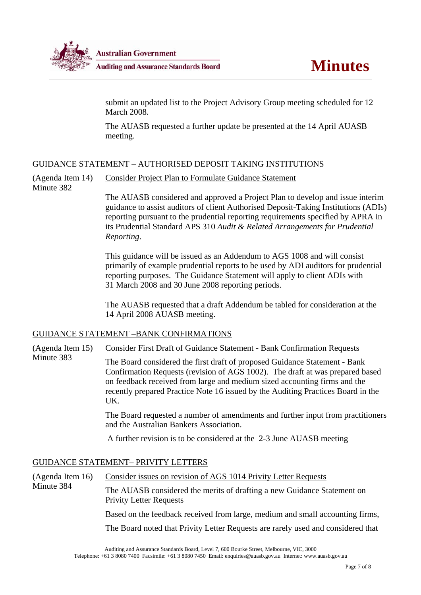

submit an updated list to the Project Advisory Group meeting scheduled for 12 March 2008.

The AUASB requested a further update be presented at the 14 April AUASB meeting.

## GUIDANCE STATEMENT – AUTHORISED DEPOSIT TAKING INSTITUTIONS

(Agenda Item 14) Consider Project Plan to Formulate Guidance Statement

Minute 382

The AUASB considered and approved a Project Plan to develop and issue interim guidance to assist auditors of client Authorised Deposit-Taking Institutions (ADIs) reporting pursuant to the prudential reporting requirements specified by APRA in its Prudential Standard APS 310 *Audit & Related Arrangements for Prudential Reporting*.

This guidance will be issued as an Addendum to AGS 1008 and will consist primarily of example prudential reports to be used by ADI auditors for prudential reporting purposes. The Guidance Statement will apply to client ADIs with 31 March 2008 and 30 June 2008 reporting periods.

The AUASB requested that a draft Addendum be tabled for consideration at the 14 April 2008 AUASB meeting.

#### GUIDANCE STATEMENT –BANK CONFIRMATIONS

(Agenda Item 15) Minute 383 Consider First Draft of Guidance Statement - Bank Confirmation Requests The Board considered the first draft of proposed Guidance Statement - Bank Confirmation Requests (revision of AGS 1002). The draft at was prepared based on feedback received from large and medium sized accounting firms and the recently prepared Practice Note 16 issued by the Auditing Practices Board in the UK.

The Board requested a number of amendments and further input from practitioners and the Australian Bankers Association.

A further revision is to be considered at the 2-3 June AUASB meeting

# GUIDANCE STATEMENT– PRIVITY LETTERS

(Agenda Item 16) Minute 384 Consider issues on revision of AGS 1014 Privity Letter Requests The AUASB considered the merits of drafting a new Guidance Statement on Privity Letter Requests Based on the feedback received from large, medium and small accounting firms, The Board noted that Privity Letter Requests are rarely used and considered that